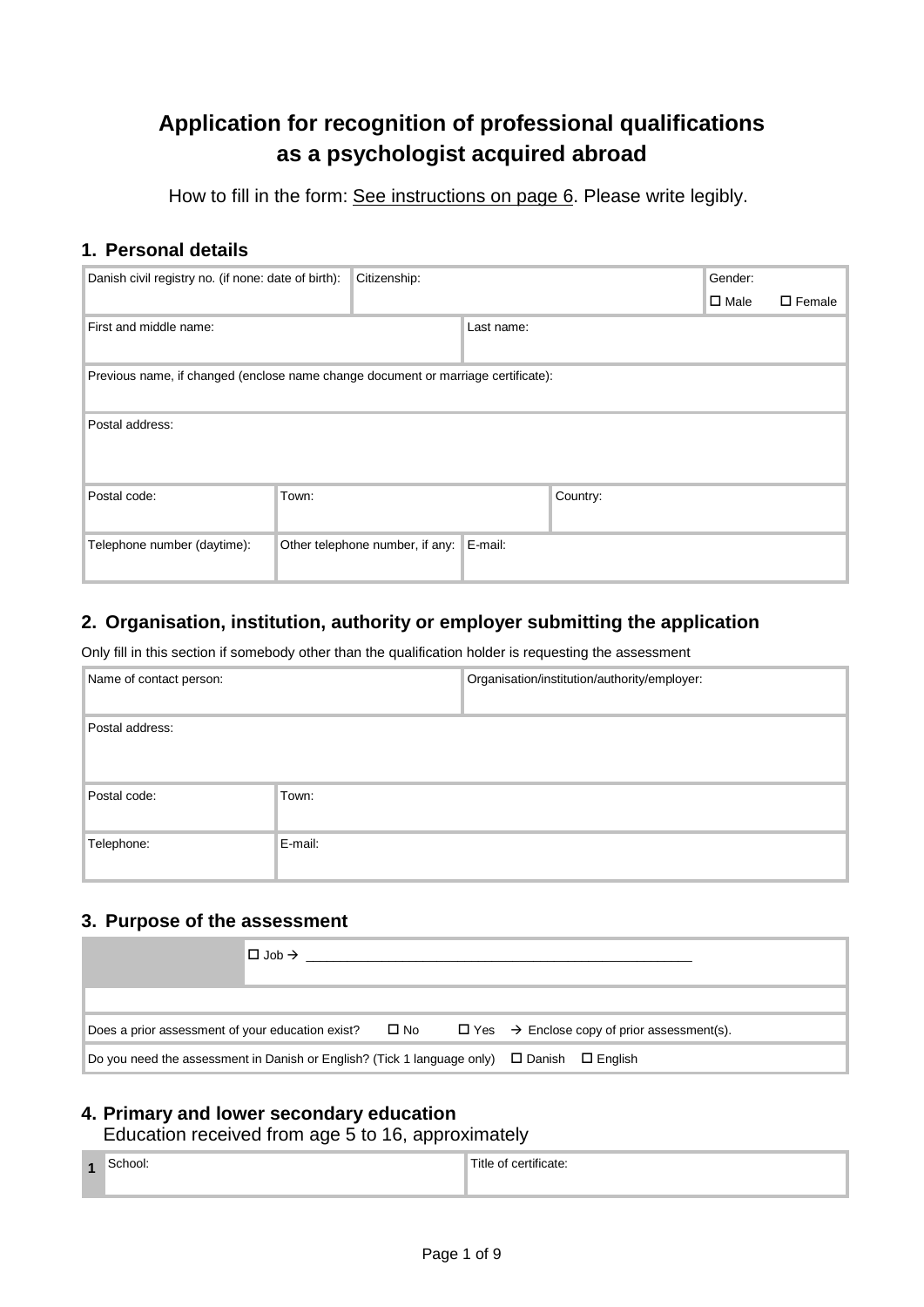# **Application for recognition of professional qualifications as a psychologist acquired abroad**

How to fill in the form: See instructions on page 6. Please write legibly.

# **1. Personal details**

| Danish civil registry no. (if none: date of birth):                               |       | Citizenship:                    |            |          | Gender:        |                  |
|-----------------------------------------------------------------------------------|-------|---------------------------------|------------|----------|----------------|------------------|
|                                                                                   |       |                                 |            |          | $\square$ Male | $\square$ Female |
| First and middle name:                                                            |       |                                 | Last name: |          |                |                  |
| Previous name, if changed (enclose name change document or marriage certificate): |       |                                 |            |          |                |                  |
| Postal address:                                                                   |       |                                 |            |          |                |                  |
| Postal code:                                                                      | Town: |                                 |            | Country: |                |                  |
| Telephone number (daytime):                                                       |       | Other telephone number, if any: | E-mail:    |          |                |                  |

# **2. Organisation, institution, authority or employer submitting the application**

Only fill in this section if somebody other than the qualification holder is requesting the assessment

| Name of contact person: |         | Organisation/institution/authority/employer: |
|-------------------------|---------|----------------------------------------------|
| Postal address:         |         |                                              |
| Postal code:            | Town:   |                                              |
| Telephone:              | E-mail: |                                              |

### **3. Purpose of the assessment**

|                                                                                                      | $\Box$ Job $\rightarrow$ |  |                                                               |
|------------------------------------------------------------------------------------------------------|--------------------------|--|---------------------------------------------------------------|
|                                                                                                      |                          |  |                                                               |
| Does a prior assessment of your education exist? $\Box$ No                                           |                          |  | $\Box$ Yes $\rightarrow$ Enclose copy of prior assessment(s). |
| Do you need the assessment in Danish or English? (Tick 1 language only) $\Box$ Danish $\Box$ English |                          |  |                                                               |

# **4. Primary and lower secondary education**

Education received from age 5 to 16, approximately

| $\overline{\mathbf{A}}$ | эөг | $\cdot$ $\cdot$<br>тсате<br> |
|-------------------------|-----|------------------------------|
|                         |     |                              |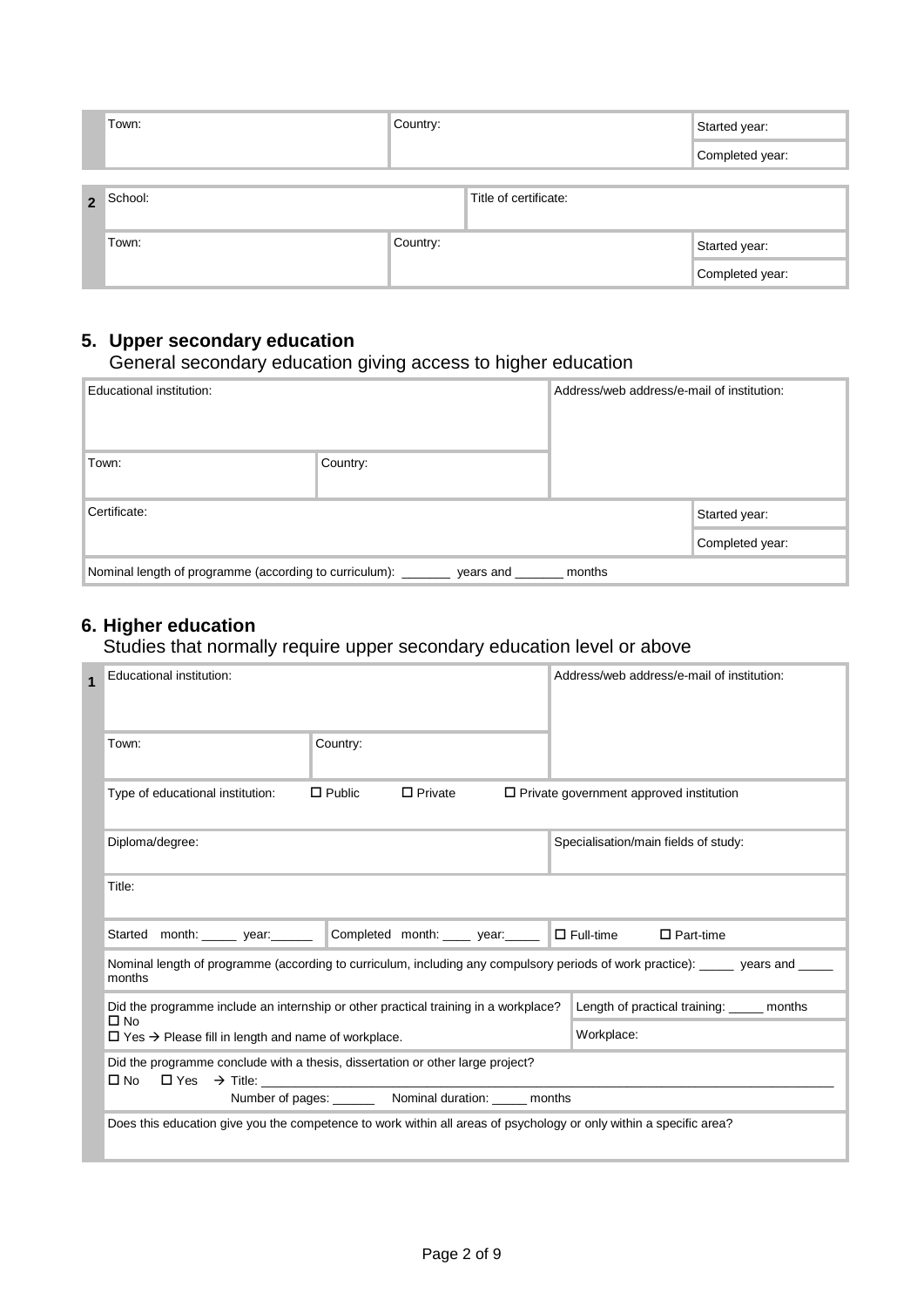|                | Town:   | Country: |                       | Started year:   |
|----------------|---------|----------|-----------------------|-----------------|
|                |         |          |                       | Completed year: |
|                |         |          |                       |                 |
| $\overline{2}$ | School: |          | Title of certificate: |                 |
|                | Town:   | Country: |                       | Started year:   |
|                |         |          |                       | Completed year: |

# **5. Upper secondary education**

### General secondary education giving access to higher education

| Educational institution:                                                        |          | Address/web address/e-mail of institution: |  |  |
|---------------------------------------------------------------------------------|----------|--------------------------------------------|--|--|
| Town:                                                                           | Country: |                                            |  |  |
| Certificate:                                                                    |          | Started year:                              |  |  |
|                                                                                 |          | Completed year:                            |  |  |
| Nominal length of programme (according to curriculum): _<br>months<br>years and |          |                                            |  |  |

# **6. Higher education**

### Studies that normally require upper secondary education level or above

|  | Educational institution:<br>Country:<br>Town:                                                                                           |                                                             | Address/web address/e-mail of institution:   |                                                |  |  |
|--|-----------------------------------------------------------------------------------------------------------------------------------------|-------------------------------------------------------------|----------------------------------------------|------------------------------------------------|--|--|
|  |                                                                                                                                         |                                                             |                                              |                                                |  |  |
|  | Type of educational institution:                                                                                                        | $\Box$ Public                                               | $\Box$ Private                               | $\Box$ Private government approved institution |  |  |
|  | Diploma/degree:                                                                                                                         |                                                             | Specialisation/main fields of study:         |                                                |  |  |
|  | Title:                                                                                                                                  |                                                             |                                              |                                                |  |  |
|  | Started month: ______ year: _______                                                                                                     |                                                             | Completed month: ____ year: ____ □ Full-time | $\Box$ Part-time                               |  |  |
|  | Nominal length of programme (according to curriculum, including any compulsory periods of work practice): _____ years and ___<br>months |                                                             |                                              |                                                |  |  |
|  | Did the programme include an internship or other practical training in a workplace?<br>$\Box$ No                                        |                                                             |                                              | Length of practical training: ______ months    |  |  |
|  | $\Box$ Yes $\rightarrow$ Please fill in length and name of workplace.                                                                   |                                                             | Workplace:                                   |                                                |  |  |
|  | Did the programme conclude with a thesis, dissertation or other large project?<br>$\Box$ Yes $\rightarrow$ Title:<br>$\square$ No       | Number of pages: __________ Nominal duration: ______ months |                                              |                                                |  |  |
|  | Does this education give you the competence to work within all areas of psychology or only within a specific area?                      |                                                             |                                              |                                                |  |  |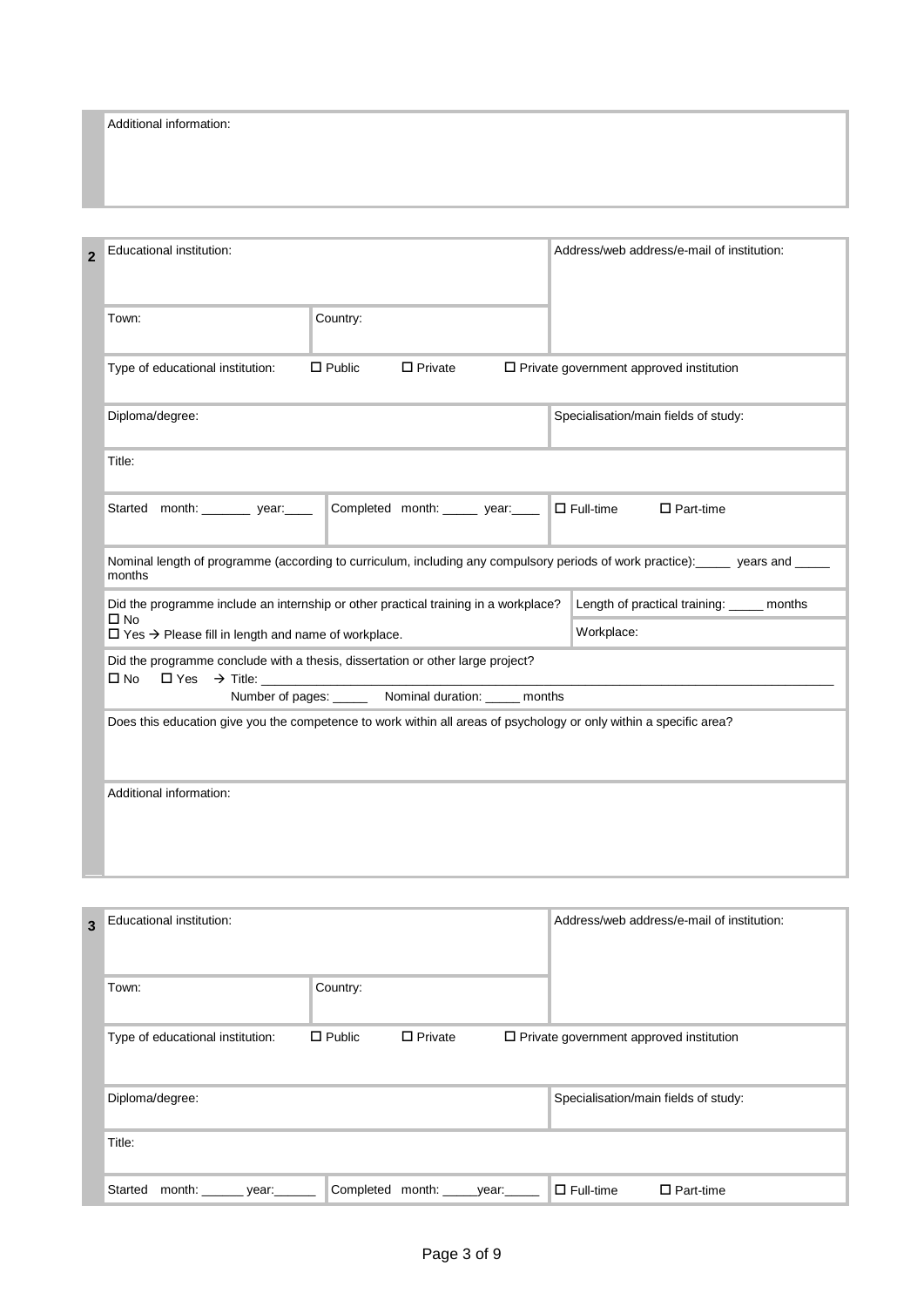Additional information:

| Educational institution:<br>$\overline{2}$                                                                                         | Address/web address/e-mail of institution:        |
|------------------------------------------------------------------------------------------------------------------------------------|---------------------------------------------------|
| Town:<br>Country:                                                                                                                  |                                                   |
| $\Box$ Public<br>$\Box$ Private<br>Type of educational institution:                                                                | $\square$ Private government approved institution |
| Diploma/degree:                                                                                                                    | Specialisation/main fields of study:              |
| Title:                                                                                                                             |                                                   |
| Started month: year:<br>Completed month: ______ year: _____                                                                        | $\square$ Full-time<br>$\square$ Part-time        |
| Nominal length of programme (according to curriculum, including any compulsory periods of work practice): years and ____<br>months |                                                   |
| Did the programme include an internship or other practical training in a workplace?                                                | Length of practical training: _____ months        |
| $\Box$ No<br>$\Box$ Yes $\rightarrow$ Please fill in length and name of workplace.                                                 | Workplace:                                        |
| Did the programme conclude with a thesis, dissertation or other large project?                                                     |                                                   |
| $\square$ No<br>$\Box$ Yes $\rightarrow$ Title:<br>Number of pages: _______ Nominal duration: ______ months                        |                                                   |
| Does this education give you the competence to work within all areas of psychology or only within a specific area?                 |                                                   |
| Additional information:                                                                                                            |                                                   |
|                                                                                                                                    |                                                   |

| 3 | Educational institution:               |               |                |                                                | Address/web address/e-mail of institution: |
|---|----------------------------------------|---------------|----------------|------------------------------------------------|--------------------------------------------|
|   | Town:                                  | Country:      |                |                                                |                                            |
|   | Type of educational institution:       | $\Box$ Public | $\Box$ Private | $\Box$ Private government approved institution |                                            |
|   | Diploma/degree:                        |               |                | Specialisation/main fields of study:           |                                            |
|   | Title:                                 |               |                |                                                |                                            |
|   | Started<br>month: _______ year: ______ | Completed     | month: year:   | $\Box$ Full-time                               | $\square$ Part-time                        |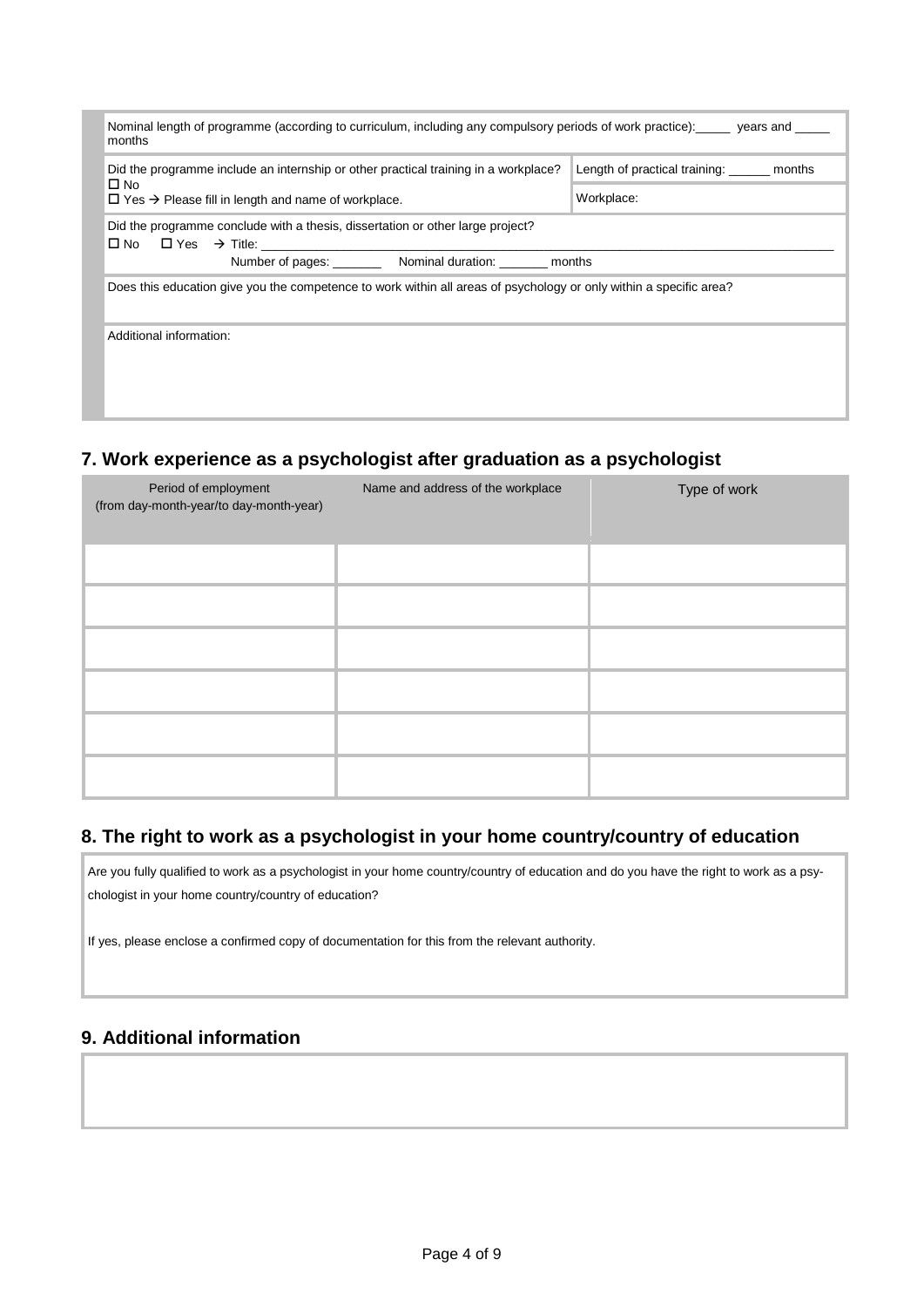| Nominal length of programme (according to curriculum, including any compulsory periods of work practice): years and<br>months                                                                  |                                      |  |  |  |  |
|------------------------------------------------------------------------------------------------------------------------------------------------------------------------------------------------|--------------------------------------|--|--|--|--|
| Did the programme include an internship or other practical training in a workplace?                                                                                                            | Length of practical training: months |  |  |  |  |
| $\square$ No<br>$\Box$ Yes $\rightarrow$ Please fill in length and name of workplace.                                                                                                          | Workplace:                           |  |  |  |  |
| Did the programme conclude with a thesis, dissertation or other large project?<br>$\Box$ No $\Box$ Yes $\rightarrow$ Title:<br>Number of pages: ___________ Nominal duration: _________ months |                                      |  |  |  |  |
| Does this education give you the competence to work within all areas of psychology or only within a specific area?                                                                             |                                      |  |  |  |  |
| Additional information:                                                                                                                                                                        |                                      |  |  |  |  |
|                                                                                                                                                                                                |                                      |  |  |  |  |
|                                                                                                                                                                                                |                                      |  |  |  |  |
|                                                                                                                                                                                                |                                      |  |  |  |  |

# **7. Work experience as a psychologist after graduation as a psychologist**

| Period of employment<br>(from day-month-year/to day-month-year) | Name and address of the workplace | Type of work |
|-----------------------------------------------------------------|-----------------------------------|--------------|
|                                                                 |                                   |              |
|                                                                 |                                   |              |
|                                                                 |                                   |              |
|                                                                 |                                   |              |
|                                                                 |                                   |              |
|                                                                 |                                   |              |

# **8. The right to work as a psychologist in your home country/country of education**

Are you fully qualified to work as a psychologist in your home country/country of education and do you have the right to work as a psychologist in your home country/country of education?

If yes, please enclose a confirmed copy of documentation for this from the relevant authority.

# **9. Additional information**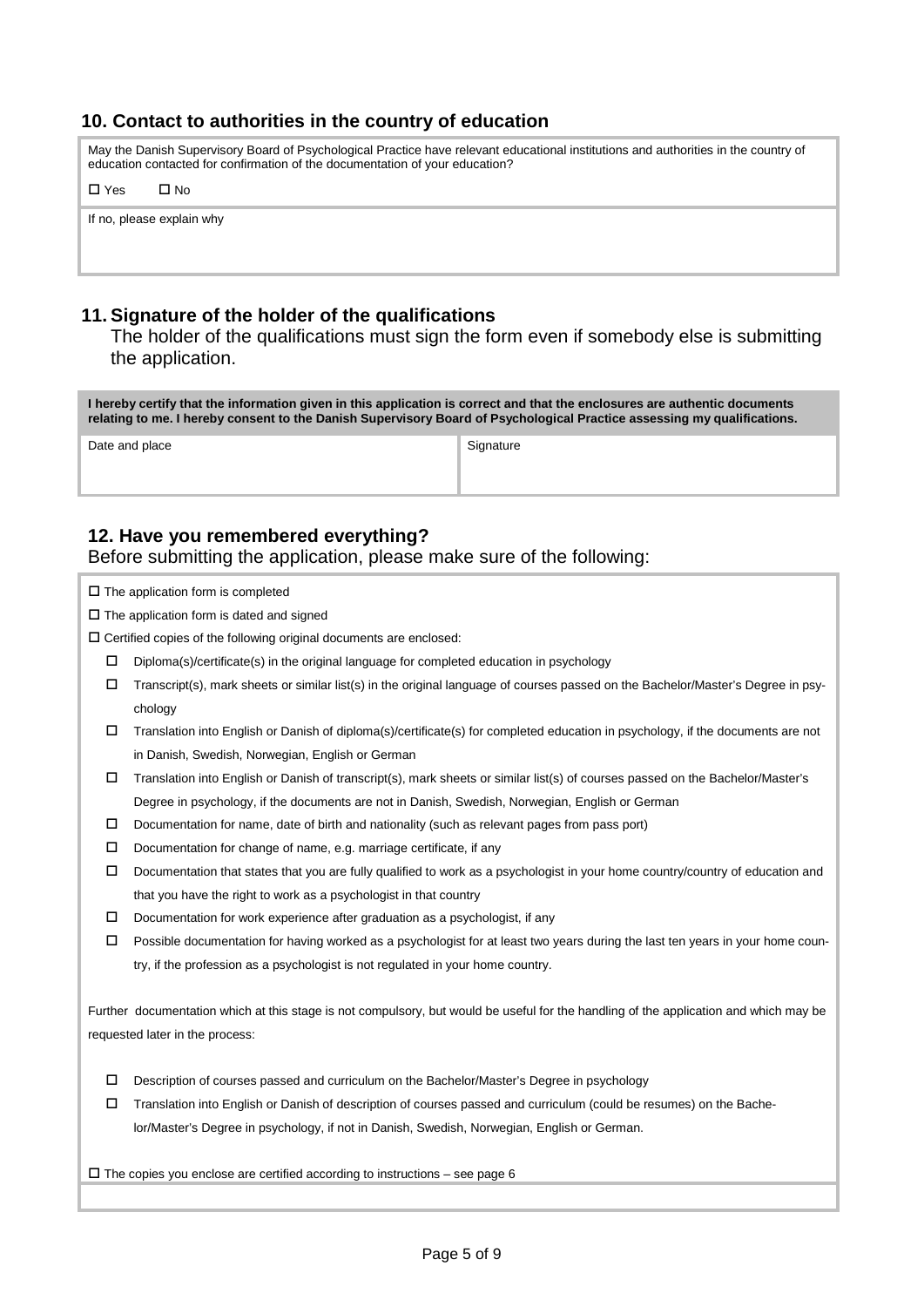### **10. Contact to authorities in the country of education**

May the Danish Supervisory Board of Psychological Practice have relevant educational institutions and authorities in the country of education contacted for confirmation of the documentation of your education?

 $\Box$   $\vee$  os  $\Box$   $\Box$   $\Box$ 

If no, please explain why

### **11. Signature of the holder of the qualifications**

The holder of the qualifications must sign the form even if somebody else is submitting the application.

**I hereby certify that the information given in this application is correct and that the enclosures are authentic documents relating to me. I hereby consent to the Danish Supervisory Board of Psychological Practice assessing my qualifications.**

Date and place Signature Signature Signature

### **12. Have you remembered everything?**

Before submitting the application, please make sure of the following:

 $\square$  The application form is completed

 $\square$  The application form is dated and signed

 $\square$  Certified copies of the following original documents are enclosed:

- $\square$  Diploma(s)/certificate(s) in the original language for completed education in psychology
- Transcript(s), mark sheets or similar list(s) in the original language of courses passed on the Bachelor/Master's Degree in psychology
- $\Box$  Translation into English or Danish of diploma(s)/certificate(s) for completed education in psychology, if the documents are not in Danish, Swedish, Norwegian, English or German
- Translation into English or Danish of transcript(s), mark sheets or similar list(s) of courses passed on the Bachelor/Master's Degree in psychology, if the documents are not in Danish, Swedish, Norwegian, English or German
- $\Box$  Documentation for name, date of birth and nationality (such as relevant pages from pass port)
- $\square$  Documentation for change of name, e.g. marriage certificate, if any
- Documentation that states that you are fully qualified to work as a psychologist in your home country/country of education and that you have the right to work as a psychologist in that country
- $\square$  Documentation for work experience after graduation as a psychologist, if any
- $\Box$  Possible documentation for having worked as a psychologist for at least two years during the last ten years in your home country, if the profession as a psychologist is not regulated in your home country.

Further documentation which at this stage is not compulsory, but would be useful for the handling of the application and which may be requested later in the process:

- Description of courses passed and curriculum on the Bachelor/Master's Degree in psychology
- Translation into English or Danish of description of courses passed and curriculum (could be resumes) on the Bachelor/Master's Degree in psychology, if not in Danish, Swedish, Norwegian, English or German.

 $\Box$  The copies you enclose are certified according to instructions – see page 6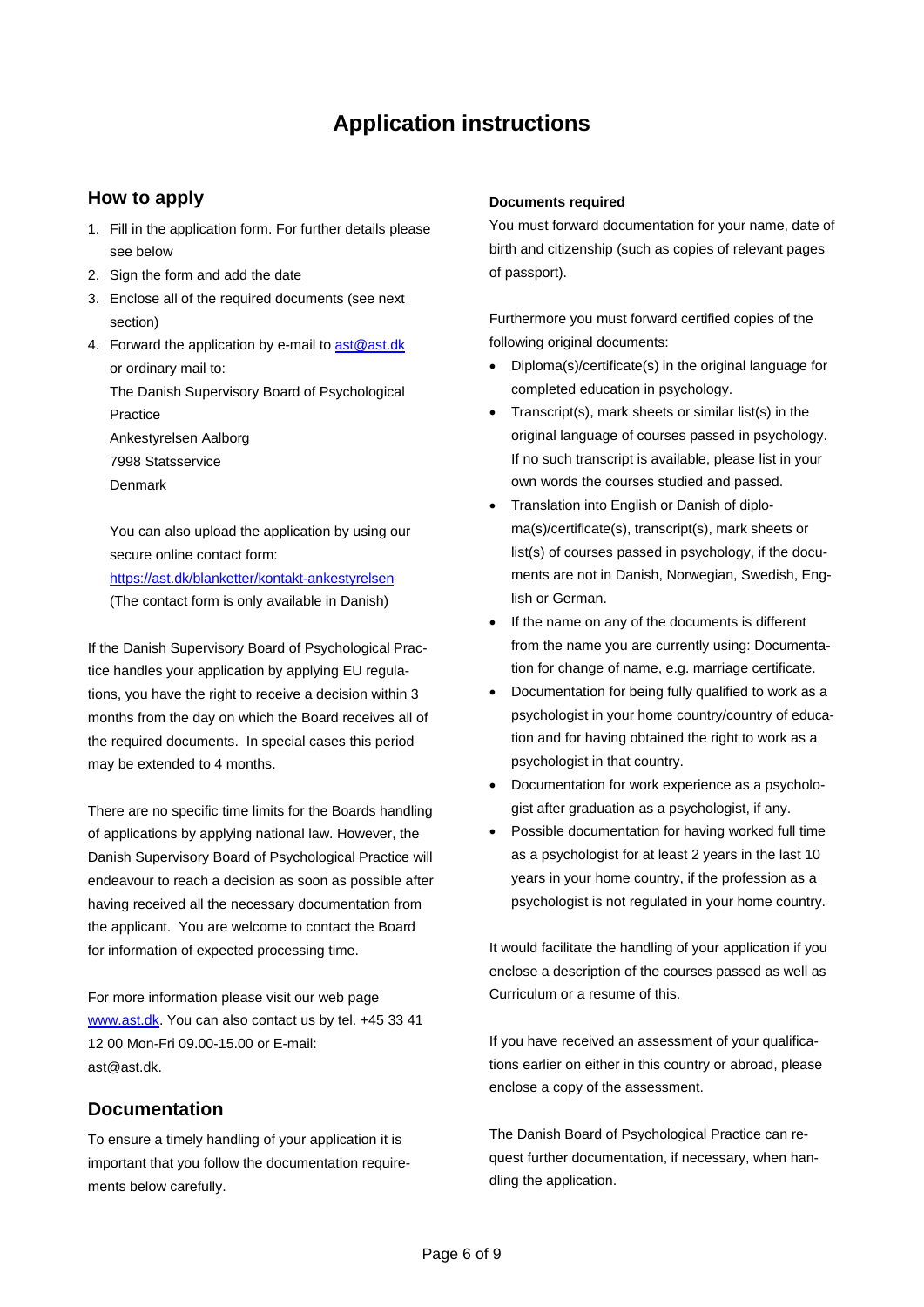# **Application instructions**

### **How to apply**

- 1. Fill in the application form. For further details please see below
- 2. Sign the form and add the date
- 3. Enclose all of the required documents (see next section)
- 4. Forward the application by e-mail to [ast@ast.dk](mailto:ast@ast.dk) or ordinary mail to:

The Danish Supervisory Board of Psychological Practice

Ankestyrelsen Aalborg 7998 Statsservice

Denmark

You can also upload the application by using our secure online contact form:

<https://ast.dk/blanketter/kontakt-ankestyrelsen> (The contact form is only available in Danish)

If the Danish Supervisory Board of Psychological Practice handles your application by applying EU regulations, you have the right to receive a decision within 3 months from the day on which the Board receives all of the required documents. In special cases this period may be extended to 4 months.

There are no specific time limits for the Boards handling of applications by applying national law. However, the Danish Supervisory Board of Psychological Practice will endeavour to reach a decision as soon as possible after having received all the necessary documentation from the applicant. You are welcome to contact the Board for information of expected processing time.

For more information please visit our web page [www.ast.dk.](http://www.ast.dk/) You can also contact us by tel. +45 33 41 12 00 Mon-Fri 09.00-15.00 or E-mail: ast@ast.dk.

### **Documentation**

To ensure a timely handling of your application it is important that you follow the documentation requirements below carefully.

#### **Documents required**

You must forward documentation for your name, date of birth and citizenship (such as copies of relevant pages of passport).

Furthermore you must forward certified copies of the following original documents:

- Diploma(s)/certificate(s) in the original language for completed education in psychology.
- Transcript(s), mark sheets or similar list(s) in the original language of courses passed in psychology. If no such transcript is available, please list in your own words the courses studied and passed.
- Translation into English or Danish of diploma(s)/certificate(s), transcript(s), mark sheets or list(s) of courses passed in psychology, if the documents are not in Danish, Norwegian, Swedish, English or German.
- If the name on any of the documents is different from the name you are currently using: Documentation for change of name, e.g. marriage certificate.
- Documentation for being fully qualified to work as a psychologist in your home country/country of education and for having obtained the right to work as a psychologist in that country.
- Documentation for work experience as a psychologist after graduation as a psychologist, if any.
- Possible documentation for having worked full time as a psychologist for at least 2 years in the last 10 years in your home country, if the profession as a psychologist is not regulated in your home country.

It would facilitate the handling of your application if you enclose a description of the courses passed as well as Curriculum or a resume of this.

If you have received an assessment of your qualifications earlier on either in this country or abroad, please enclose a copy of the assessment.

The Danish Board of Psychological Practice can request further documentation, if necessary, when handling the application.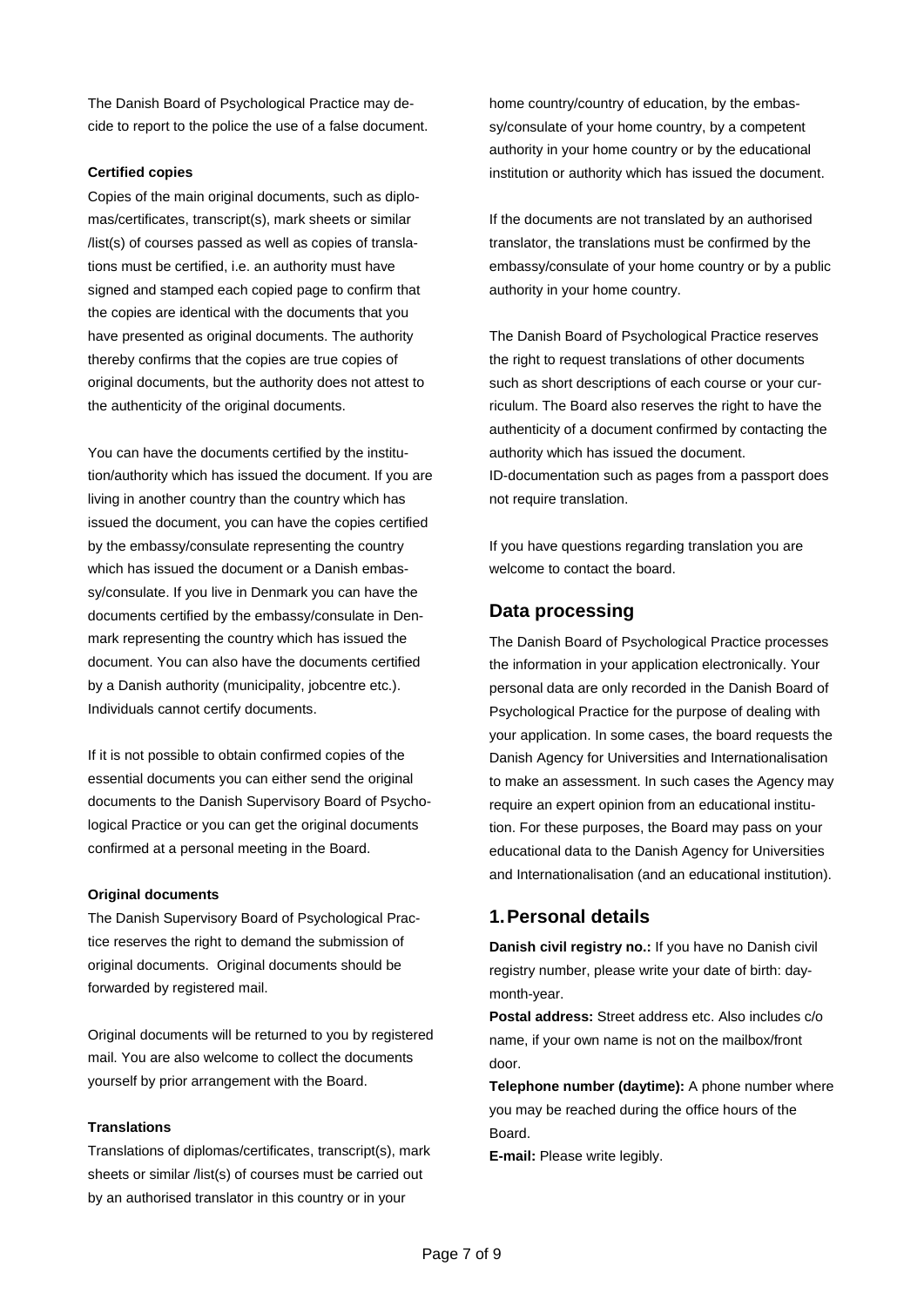The Danish Board of Psychological Practice may decide to report to the police the use of a false document.

#### **Certified copies**

Copies of the main original documents, such as diplomas/certificates, transcript(s), mark sheets or similar /list(s) of courses passed as well as copies of translations must be certified, i.e. an authority must have signed and stamped each copied page to confirm that the copies are identical with the documents that you have presented as original documents. The authority thereby confirms that the copies are true copies of original documents, but the authority does not attest to the authenticity of the original documents.

You can have the documents certified by the institution/authority which has issued the document. If you are living in another country than the country which has issued the document, you can have the copies certified by the embassy/consulate representing the country which has issued the document or a Danish embassy/consulate. If you live in Denmark you can have the documents certified by the embassy/consulate in Denmark representing the country which has issued the document. You can also have the documents certified by a Danish authority (municipality, jobcentre etc.). Individuals cannot certify documents.

If it is not possible to obtain confirmed copies of the essential documents you can either send the original documents to the Danish Supervisory Board of Psychological Practice or you can get the original documents confirmed at a personal meeting in the Board.

#### **Original documents**

The Danish Supervisory Board of Psychological Practice reserves the right to demand the submission of original documents. Original documents should be forwarded by registered mail.

Original documents will be returned to you by registered mail. You are also welcome to collect the documents yourself by prior arrangement with the Board.

#### **Translations**

Translations of diplomas/certificates, transcript(s), mark sheets or similar /list(s) of courses must be carried out by an authorised translator in this country or in your

home country/country of education, by the embassy/consulate of your home country, by a competent authority in your home country or by the educational institution or authority which has issued the document.

If the documents are not translated by an authorised translator, the translations must be confirmed by the embassy/consulate of your home country or by a public authority in your home country.

The Danish Board of Psychological Practice reserves the right to request translations of other documents such as short descriptions of each course or your curriculum. The Board also reserves the right to have the authenticity of a document confirmed by contacting the authority which has issued the document. ID-documentation such as pages from a passport does not require translation.

If you have questions regarding translation you are welcome to contact the board.

### **Data processing**

The Danish Board of Psychological Practice processes the information in your application electronically. Your personal data are only recorded in the Danish Board of Psychological Practice for the purpose of dealing with your application. In some cases, the board requests the Danish Agency for Universities and Internationalisation to make an assessment. In such cases the Agency may require an expert opinion from an educational institution. For these purposes, the Board may pass on your educational data to the Danish Agency for Universities and Internationalisation (and an educational institution).

### **1.Personal details**

**Danish civil registry no.:** If you have no Danish civil registry number, please write your date of birth: daymonth-year.

**Postal address:** Street address etc. Also includes c/o name, if your own name is not on the mailbox/front door.

**Telephone number (daytime):** A phone number where you may be reached during the office hours of the Board.

**E-mail:** Please write legibly.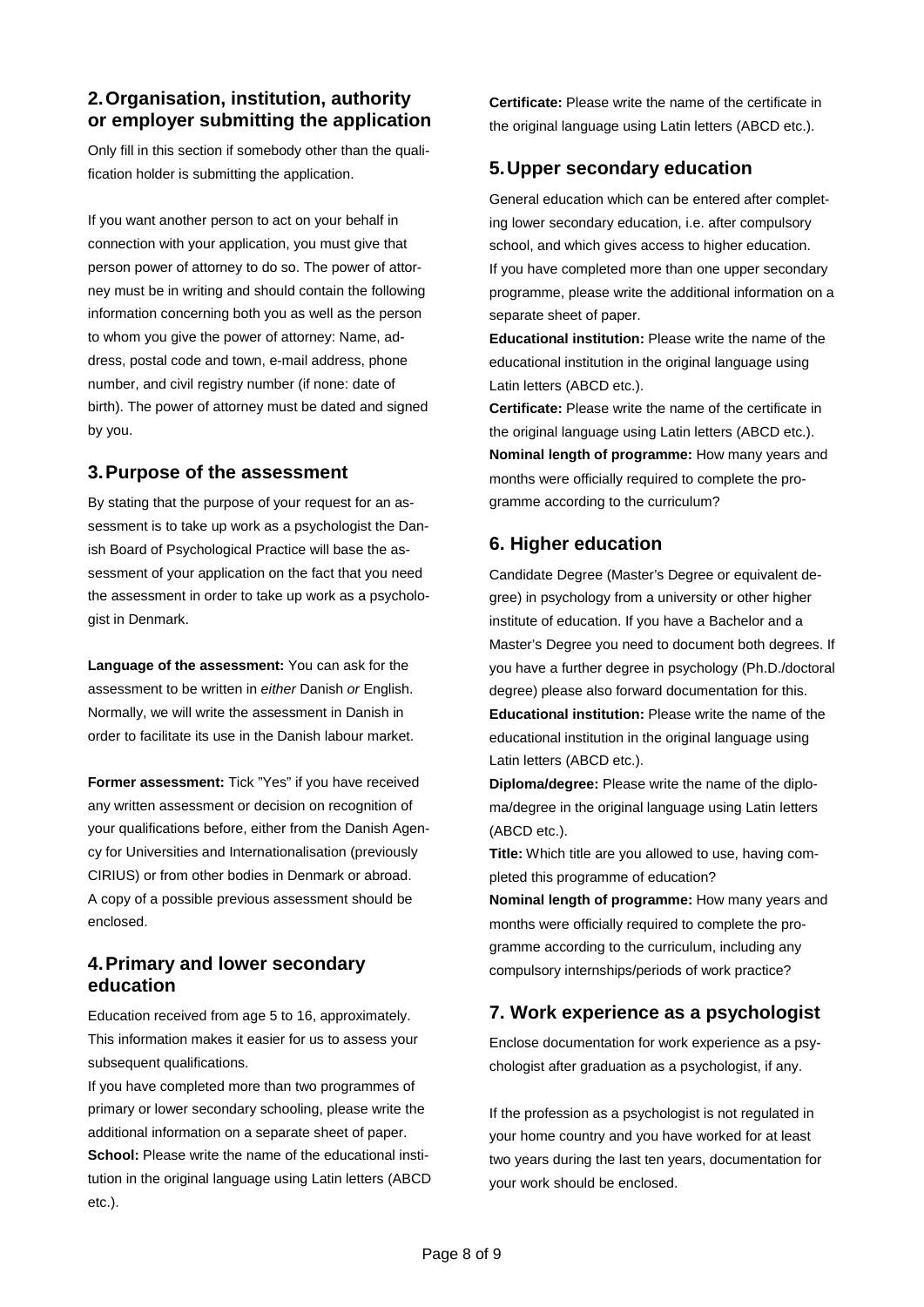### **2.Organisation, institution, authority or employer submitting the application**

Only fill in this section if somebody other than the qualification holder is submitting the application.

If you want another person to act on your behalf in connection with your application, you must give that person power of attorney to do so. The power of attorney must be in writing and should contain the following information concerning both you as well as the person to whom you give the power of attorney: Name, address, postal code and town, e-mail address, phone number, and civil registry number (if none: date of birth). The power of attorney must be dated and signed by you.

### **3.Purpose of the assessment**

By stating that the purpose of your request for an assessment is to take up work as a psychologist the Danish Board of Psychological Practice will base the assessment of your application on the fact that you need the assessment in order to take up work as a psychologist in Denmark.

**Language of the assessment:** You can ask for the assessment to be written in *either* Danish *or* English. Normally, we will write the assessment in Danish in order to facilitate its use in the Danish labour market.

**Former assessment:** Tick "Yes" if you have received any written assessment or decision on recognition of your qualifications before, either from the Danish Agency for Universities and Internationalisation (previously CIRIUS) or from other bodies in Denmark or abroad. A copy of a possible previous assessment should be enclosed.

### **4.Primary and lower secondary education**

Education received from age 5 to 16, approximately. This information makes it easier for us to assess your subsequent qualifications.

If you have completed more than two programmes of primary or lower secondary schooling, please write the additional information on a separate sheet of paper. **School:** Please write the name of the educational institution in the original language using Latin letters (ABCD etc.).

**Certificate:** Please write the name of the certificate in the original language using Latin letters (ABCD etc.).

# **5.Upper secondary education**

General education which can be entered after completing lower secondary education, i.e. after compulsory school, and which gives access to higher education. If you have completed more than one upper secondary programme, please write the additional information on a separate sheet of paper.

**Educational institution:** Please write the name of the educational institution in the original language using Latin letters (ABCD etc.).

**Certificate:** Please write the name of the certificate in the original language using Latin letters (ABCD etc.). **Nominal length of programme:** How many years and months were officially required to complete the programme according to the curriculum?

# **6. Higher education**

Candidate Degree (Master's Degree or equivalent degree) in psychology from a university or other higher institute of education. If you have a Bachelor and a Master's Degree you need to document both degrees. If you have a further degree in psychology (Ph.D./doctoral degree) please also forward documentation for this. **Educational institution:** Please write the name of the educational institution in the original language using Latin letters (ABCD etc.).

**Diploma/degree:** Please write the name of the diploma/degree in the original language using Latin letters (ABCD etc.).

**Title:** Which title are you allowed to use, having completed this programme of education?

**Nominal length of programme:** How many years and months were officially required to complete the programme according to the curriculum, including any compulsory internships/periods of work practice?

# **7. Work experience as a psychologist**

Enclose documentation for work experience as a psychologist after graduation as a psychologist, if any.

If the profession as a psychologist is not regulated in your home country and you have worked for at least two years during the last ten years, documentation for your work should be enclosed.